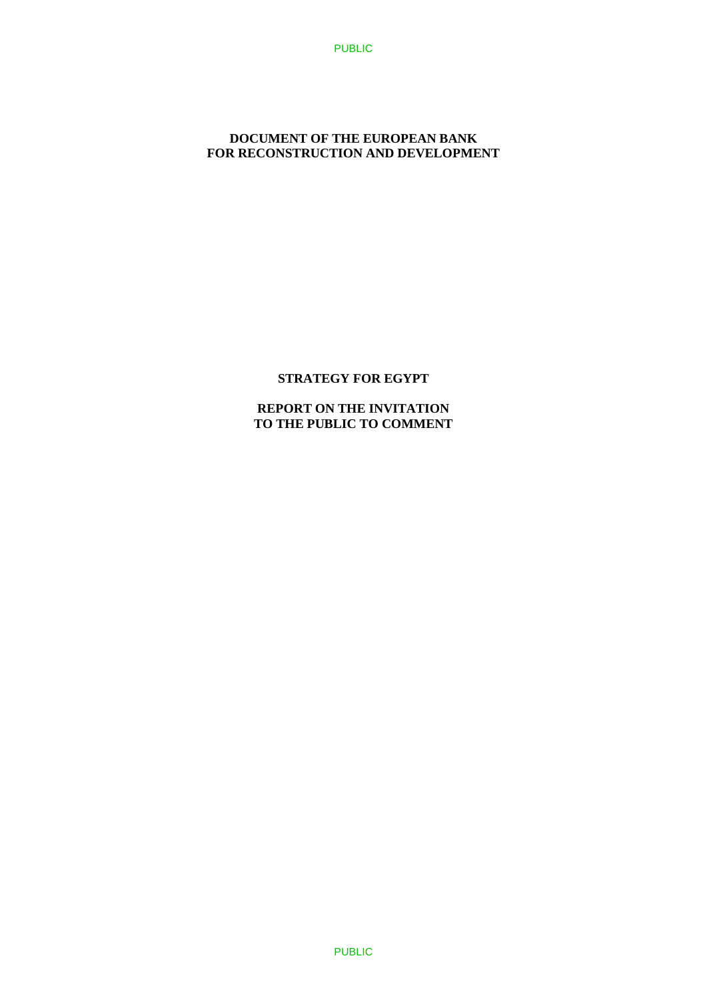### **DOCUMENT OF THE EUROPEAN BANK FOR RECONSTRUCTION AND DEVELOPMENT**

### **STRATEGY FOR EGYPT**

**REPORT ON THE INVITATION TO THE PUBLIC TO COMMENT**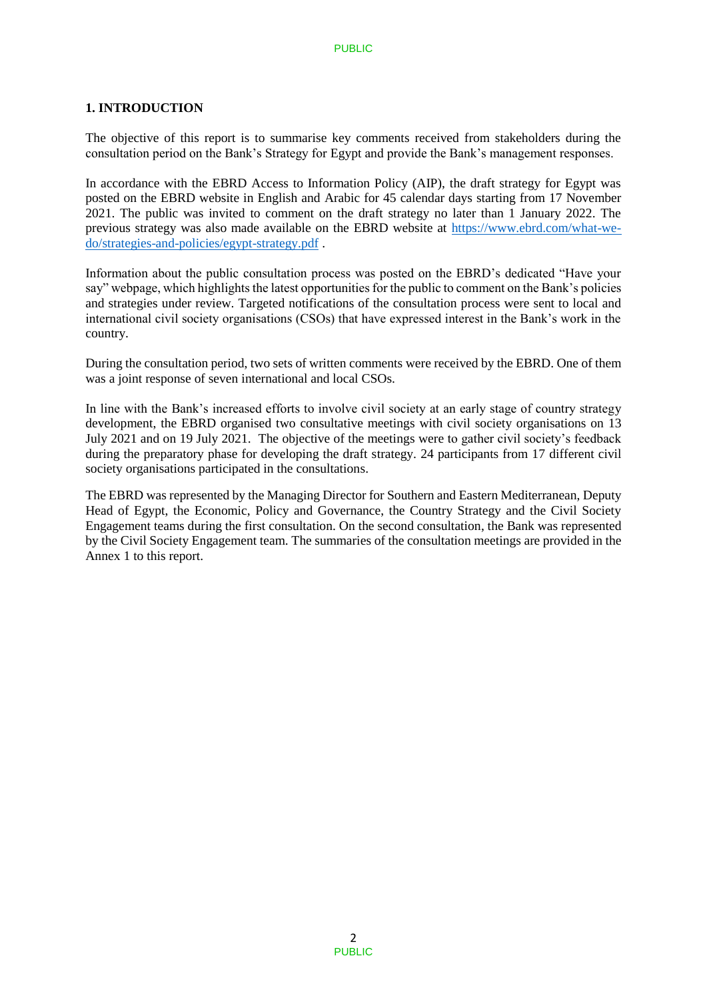### **1. INTRODUCTION**

The objective of this report is to summarise key comments received from stakeholders during the consultation period on the Bank's Strategy for Egypt and provide the Bank's management responses.

In accordance with the EBRD Access to Information Policy (AIP), the draft strategy for Egypt was posted on the EBRD website in English and Arabic for 45 calendar days starting from 17 November 2021. The public was invited to comment on the draft strategy no later than 1 January 2022. The previous strategy was also made available on the EBRD website at [https://www.ebrd.com/what-we](https://www.ebrd.com/what-we-do/strategies-and-policies/egypt-strategy.pdf)[do/strategies-and-policies/egypt-strategy.pdf](https://www.ebrd.com/what-we-do/strategies-and-policies/egypt-strategy.pdf) .

Information about the public consultation process was posted on the EBRD's dedicated "Have your say" webpage, which highlights the latest opportunities for the public to comment on the Bank's policies and strategies under review. Targeted notifications of the consultation process were sent to local and international civil society organisations (CSOs) that have expressed interest in the Bank's work in the country.

During the consultation period, two sets of written comments were received by the EBRD. One of them was a joint response of seven international and local CSOs.

In line with the Bank's increased efforts to involve civil society at an early stage of country strategy development, the EBRD organised two consultative meetings with civil society organisations on 13 July 2021 and on 19 July 2021. The objective of the meetings were to gather civil society's feedback during the preparatory phase for developing the draft strategy. 24 participants from 17 different civil society organisations participated in the consultations.

The EBRD was represented by the Managing Director for Southern and Eastern Mediterranean, Deputy Head of Egypt, the Economic, Policy and Governance, the Country Strategy and the Civil Society Engagement teams during the first consultation. On the second consultation, the Bank was represented by the Civil Society Engagement team. The summaries of the consultation meetings are provided in the Annex 1 to this report.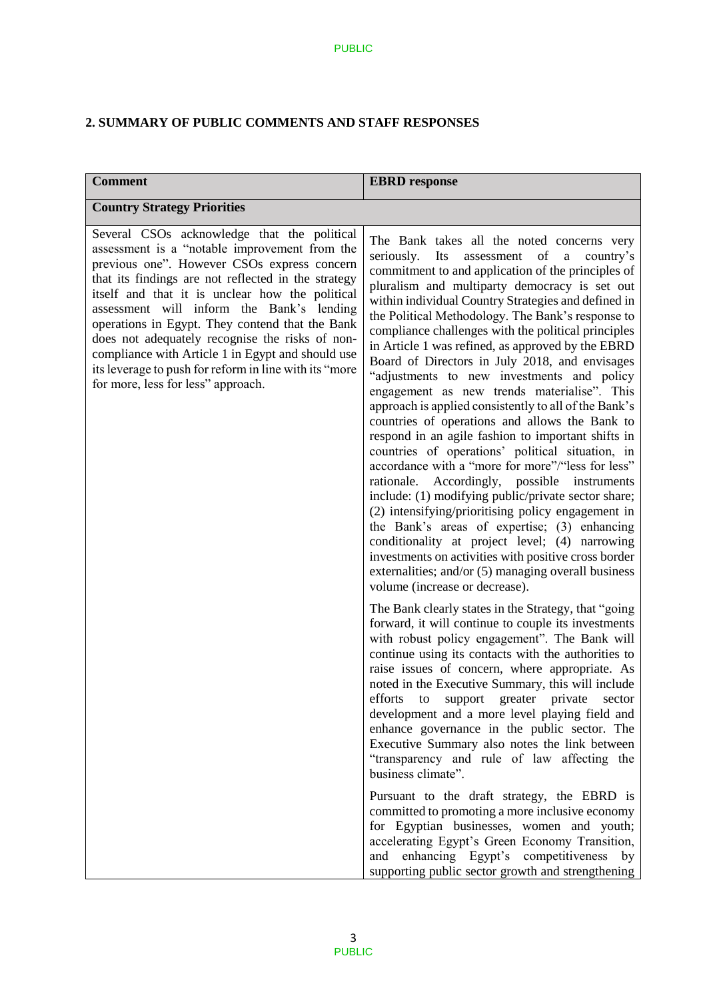# **2. SUMMARY OF PUBLIC COMMENTS AND STAFF RESPONSES**

| <b>Comment</b>                                                                                                                                                                                                                                                                                                                                                                                                                                                                                                                                                | <b>EBRD</b> response                                                                                                                                                                                                                                                                                                                                                                                                                                                                                                                                                                                                                                                                                                                                                                                                                                                                                                                                                                                                                                                                                                                                                                                                                                                       |  |
|---------------------------------------------------------------------------------------------------------------------------------------------------------------------------------------------------------------------------------------------------------------------------------------------------------------------------------------------------------------------------------------------------------------------------------------------------------------------------------------------------------------------------------------------------------------|----------------------------------------------------------------------------------------------------------------------------------------------------------------------------------------------------------------------------------------------------------------------------------------------------------------------------------------------------------------------------------------------------------------------------------------------------------------------------------------------------------------------------------------------------------------------------------------------------------------------------------------------------------------------------------------------------------------------------------------------------------------------------------------------------------------------------------------------------------------------------------------------------------------------------------------------------------------------------------------------------------------------------------------------------------------------------------------------------------------------------------------------------------------------------------------------------------------------------------------------------------------------------|--|
| <b>Country Strategy Priorities</b>                                                                                                                                                                                                                                                                                                                                                                                                                                                                                                                            |                                                                                                                                                                                                                                                                                                                                                                                                                                                                                                                                                                                                                                                                                                                                                                                                                                                                                                                                                                                                                                                                                                                                                                                                                                                                            |  |
| Several CSOs acknowledge that the political<br>assessment is a "notable improvement from the<br>previous one". However CSOs express concern<br>that its findings are not reflected in the strategy<br>itself and that it is unclear how the political<br>assessment will inform the Bank's lending<br>operations in Egypt. They contend that the Bank<br>does not adequately recognise the risks of non-<br>compliance with Article 1 in Egypt and should use<br>its leverage to push for reform in line with its "more<br>for more, less for less" approach. | The Bank takes all the noted concerns very<br>seriously.<br>Its<br>assessment<br>of a<br>country's<br>commitment to and application of the principles of<br>pluralism and multiparty democracy is set out<br>within individual Country Strategies and defined in<br>the Political Methodology. The Bank's response to<br>compliance challenges with the political principles<br>in Article 1 was refined, as approved by the EBRD<br>Board of Directors in July 2018, and envisages<br>"adjustments to new investments and policy<br>engagement as new trends materialise". This<br>approach is applied consistently to all of the Bank's<br>countries of operations and allows the Bank to<br>respond in an agile fashion to important shifts in<br>countries of operations' political situation, in<br>accordance with a "more for more"/"less for less"<br>rationale. Accordingly, possible instruments<br>include: (1) modifying public/private sector share;<br>(2) intensifying/prioritising policy engagement in<br>the Bank's areas of expertise; (3) enhancing<br>conditionality at project level; (4) narrowing<br>investments on activities with positive cross border<br>externalities; and/or (5) managing overall business<br>volume (increase or decrease). |  |
|                                                                                                                                                                                                                                                                                                                                                                                                                                                                                                                                                               | The Bank clearly states in the Strategy, that "going<br>forward, it will continue to couple its investments<br>with robust policy engagement". The Bank will<br>continue using its contacts with the authorities to<br>raise issues of concern, where appropriate. As<br>noted in the Executive Summary, this will include<br>efforts to support greater private sector<br>development and a more level playing field and<br>enhance governance in the public sector. The<br>Executive Summary also notes the link between<br>"transparency and rule of law affecting the<br>business climate".<br>Pursuant to the draft strategy, the EBRD is<br>committed to promoting a more inclusive economy<br>for Egyptian businesses, women and youth;<br>accelerating Egypt's Green Economy Transition,<br>enhancing Egypt's competitiveness by<br>and<br>supporting public sector growth and strengthening                                                                                                                                                                                                                                                                                                                                                                       |  |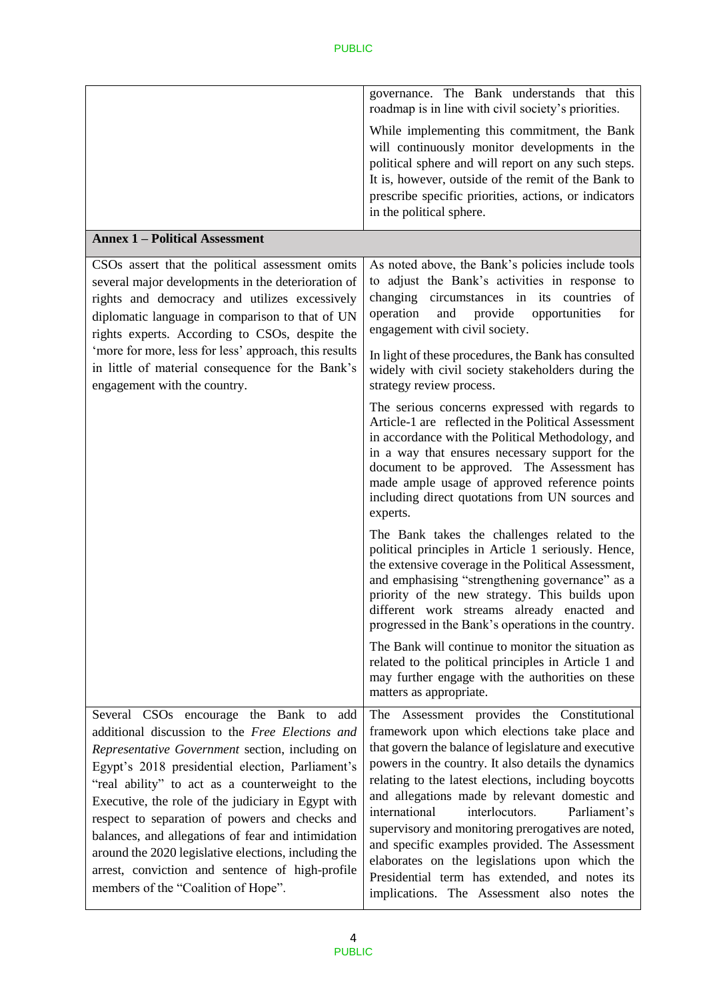|                                                                                                                                                                                                                                                                                                                                                                                                                                                                                                                                                                     | governance. The Bank understands that this<br>roadmap is in line with civil society's priorities.                                                                                                                                                                                                                                                                                                                                                                                                                                                                                                                                  |  |
|---------------------------------------------------------------------------------------------------------------------------------------------------------------------------------------------------------------------------------------------------------------------------------------------------------------------------------------------------------------------------------------------------------------------------------------------------------------------------------------------------------------------------------------------------------------------|------------------------------------------------------------------------------------------------------------------------------------------------------------------------------------------------------------------------------------------------------------------------------------------------------------------------------------------------------------------------------------------------------------------------------------------------------------------------------------------------------------------------------------------------------------------------------------------------------------------------------------|--|
|                                                                                                                                                                                                                                                                                                                                                                                                                                                                                                                                                                     | While implementing this commitment, the Bank<br>will continuously monitor developments in the<br>political sphere and will report on any such steps.<br>It is, however, outside of the remit of the Bank to<br>prescribe specific priorities, actions, or indicators<br>in the political sphere.                                                                                                                                                                                                                                                                                                                                   |  |
| <b>Annex 1 - Political Assessment</b>                                                                                                                                                                                                                                                                                                                                                                                                                                                                                                                               |                                                                                                                                                                                                                                                                                                                                                                                                                                                                                                                                                                                                                                    |  |
| CSOs assert that the political assessment omits<br>several major developments in the deterioration of<br>rights and democracy and utilizes excessively<br>diplomatic language in comparison to that of UN<br>rights experts. According to CSOs, despite the<br>'more for more, less for less' approach, this results<br>in little of material consequence for the Bank's<br>engagement with the country.                                                                                                                                                            | As noted above, the Bank's policies include tools<br>to adjust the Bank's activities in response to<br>circumstances in its countries<br>changing<br>of<br>operation<br>opportunities<br>and<br>provide<br>for<br>engagement with civil society.                                                                                                                                                                                                                                                                                                                                                                                   |  |
|                                                                                                                                                                                                                                                                                                                                                                                                                                                                                                                                                                     | In light of these procedures, the Bank has consulted<br>widely with civil society stakeholders during the<br>strategy review process.                                                                                                                                                                                                                                                                                                                                                                                                                                                                                              |  |
|                                                                                                                                                                                                                                                                                                                                                                                                                                                                                                                                                                     | The serious concerns expressed with regards to<br>Article-1 are reflected in the Political Assessment<br>in accordance with the Political Methodology, and<br>in a way that ensures necessary support for the<br>document to be approved. The Assessment has<br>made ample usage of approved reference points<br>including direct quotations from UN sources and<br>experts.                                                                                                                                                                                                                                                       |  |
|                                                                                                                                                                                                                                                                                                                                                                                                                                                                                                                                                                     | The Bank takes the challenges related to the<br>political principles in Article 1 seriously. Hence,<br>the extensive coverage in the Political Assessment,<br>and emphasising "strengthening governance" as a<br>priority of the new strategy. This builds upon<br>different work streams already enacted and<br>progressed in the Bank's operations in the country.                                                                                                                                                                                                                                                               |  |
|                                                                                                                                                                                                                                                                                                                                                                                                                                                                                                                                                                     | The Bank will continue to monitor the situation as<br>related to the political principles in Article 1 and<br>may further engage with the authorities on these<br>matters as appropriate.                                                                                                                                                                                                                                                                                                                                                                                                                                          |  |
| Several CSOs encourage the Bank to add<br>additional discussion to the Free Elections and<br>Representative Government section, including on<br>Egypt's 2018 presidential election, Parliament's<br>"real ability" to act as a counterweight to the<br>Executive, the role of the judiciary in Egypt with<br>respect to separation of powers and checks and<br>balances, and allegations of fear and intimidation<br>around the 2020 legislative elections, including the<br>arrest, conviction and sentence of high-profile<br>members of the "Coalition of Hope". | Assessment provides the Constitutional<br>The<br>framework upon which elections take place and<br>that govern the balance of legislature and executive<br>powers in the country. It also details the dynamics<br>relating to the latest elections, including boycotts<br>and allegations made by relevant domestic and<br>international<br>interlocutors.<br>Parliament's<br>supervisory and monitoring prerogatives are noted,<br>and specific examples provided. The Assessment<br>elaborates on the legislations upon which the<br>Presidential term has extended, and notes its<br>implications. The Assessment also notes the |  |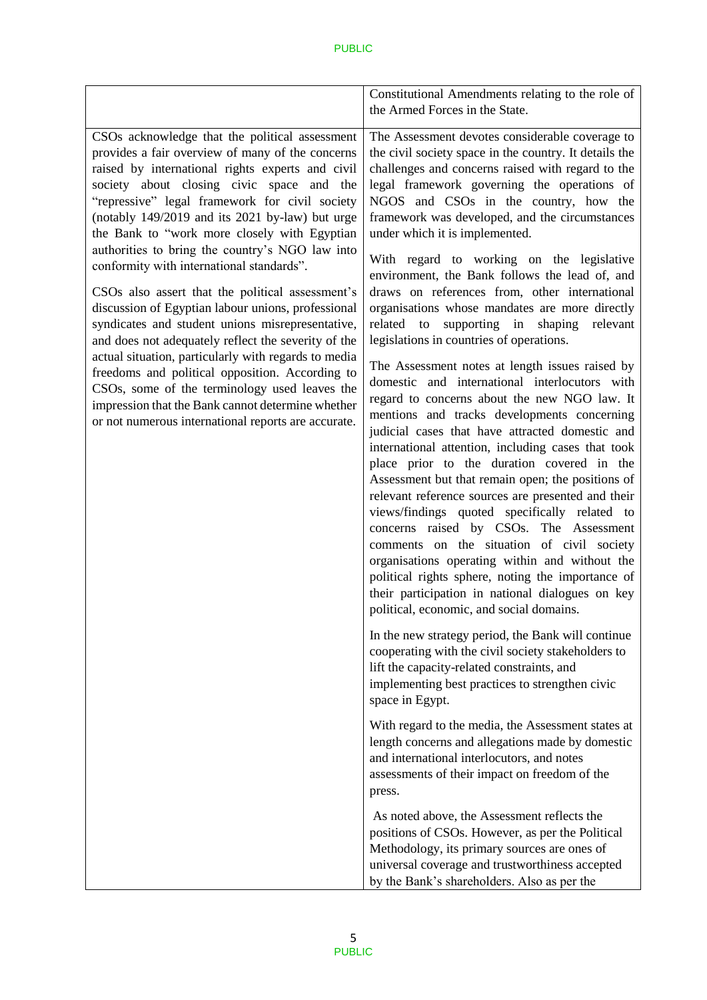|                                                                                                                                                                                                                                                                                                                                                                                                                                                                                                                                                                                                                                                                                                                                                                                                                                                                                                                                                       | Constitutional Amendments relating to the role of<br>the Armed Forces in the State.                                                                                                                                                                                                                                                                                                                                                                                                                                                                                                                                                                                                                                                                                                                                                                                                                                                                                                                                                                                                                                                                                                                                                                                                                                                                                                                                                                            |
|-------------------------------------------------------------------------------------------------------------------------------------------------------------------------------------------------------------------------------------------------------------------------------------------------------------------------------------------------------------------------------------------------------------------------------------------------------------------------------------------------------------------------------------------------------------------------------------------------------------------------------------------------------------------------------------------------------------------------------------------------------------------------------------------------------------------------------------------------------------------------------------------------------------------------------------------------------|----------------------------------------------------------------------------------------------------------------------------------------------------------------------------------------------------------------------------------------------------------------------------------------------------------------------------------------------------------------------------------------------------------------------------------------------------------------------------------------------------------------------------------------------------------------------------------------------------------------------------------------------------------------------------------------------------------------------------------------------------------------------------------------------------------------------------------------------------------------------------------------------------------------------------------------------------------------------------------------------------------------------------------------------------------------------------------------------------------------------------------------------------------------------------------------------------------------------------------------------------------------------------------------------------------------------------------------------------------------------------------------------------------------------------------------------------------------|
| CSOs acknowledge that the political assessment<br>provides a fair overview of many of the concerns<br>raised by international rights experts and civil<br>society about closing civic space and the<br>"repressive" legal framework for civil society<br>(notably 149/2019 and its 2021 by-law) but urge<br>the Bank to "work more closely with Egyptian<br>authorities to bring the country's NGO law into<br>conformity with international standards".<br>CSOs also assert that the political assessment's<br>discussion of Egyptian labour unions, professional<br>syndicates and student unions misrepresentative,<br>and does not adequately reflect the severity of the<br>actual situation, particularly with regards to media<br>freedoms and political opposition. According to<br>CSOs, some of the terminology used leaves the<br>impression that the Bank cannot determine whether<br>or not numerous international reports are accurate. | The Assessment devotes considerable coverage to<br>the civil society space in the country. It details the<br>challenges and concerns raised with regard to the<br>legal framework governing the operations of<br>NGOS and CSOs in the country, how the<br>framework was developed, and the circumstances<br>under which it is implemented.<br>With regard to working on the legislative<br>environment, the Bank follows the lead of, and<br>draws on references from, other international<br>organisations whose mandates are more directly<br>related to supporting in shaping<br>relevant<br>legislations in countries of operations.<br>The Assessment notes at length issues raised by<br>domestic and international interlocutors with<br>regard to concerns about the new NGO law. It<br>mentions and tracks developments concerning<br>judicial cases that have attracted domestic and<br>international attention, including cases that took<br>place prior to the duration covered in the<br>Assessment but that remain open; the positions of<br>relevant reference sources are presented and their<br>views/findings quoted specifically related to<br>concerns raised by CSOs. The Assessment<br>comments on the situation of civil society<br>organisations operating within and without the<br>political rights sphere, noting the importance of<br>their participation in national dialogues on key<br>political, economic, and social domains. |
|                                                                                                                                                                                                                                                                                                                                                                                                                                                                                                                                                                                                                                                                                                                                                                                                                                                                                                                                                       | In the new strategy period, the Bank will continue<br>cooperating with the civil society stakeholders to<br>lift the capacity-related constraints, and<br>implementing best practices to strengthen civic<br>space in Egypt.                                                                                                                                                                                                                                                                                                                                                                                                                                                                                                                                                                                                                                                                                                                                                                                                                                                                                                                                                                                                                                                                                                                                                                                                                                   |
|                                                                                                                                                                                                                                                                                                                                                                                                                                                                                                                                                                                                                                                                                                                                                                                                                                                                                                                                                       | With regard to the media, the Assessment states at<br>length concerns and allegations made by domestic<br>and international interlocutors, and notes<br>assessments of their impact on freedom of the<br>press.                                                                                                                                                                                                                                                                                                                                                                                                                                                                                                                                                                                                                                                                                                                                                                                                                                                                                                                                                                                                                                                                                                                                                                                                                                                |
|                                                                                                                                                                                                                                                                                                                                                                                                                                                                                                                                                                                                                                                                                                                                                                                                                                                                                                                                                       | As noted above, the Assessment reflects the<br>positions of CSOs. However, as per the Political<br>Methodology, its primary sources are ones of<br>universal coverage and trustworthiness accepted<br>by the Bank's shareholders. Also as per the                                                                                                                                                                                                                                                                                                                                                                                                                                                                                                                                                                                                                                                                                                                                                                                                                                                                                                                                                                                                                                                                                                                                                                                                              |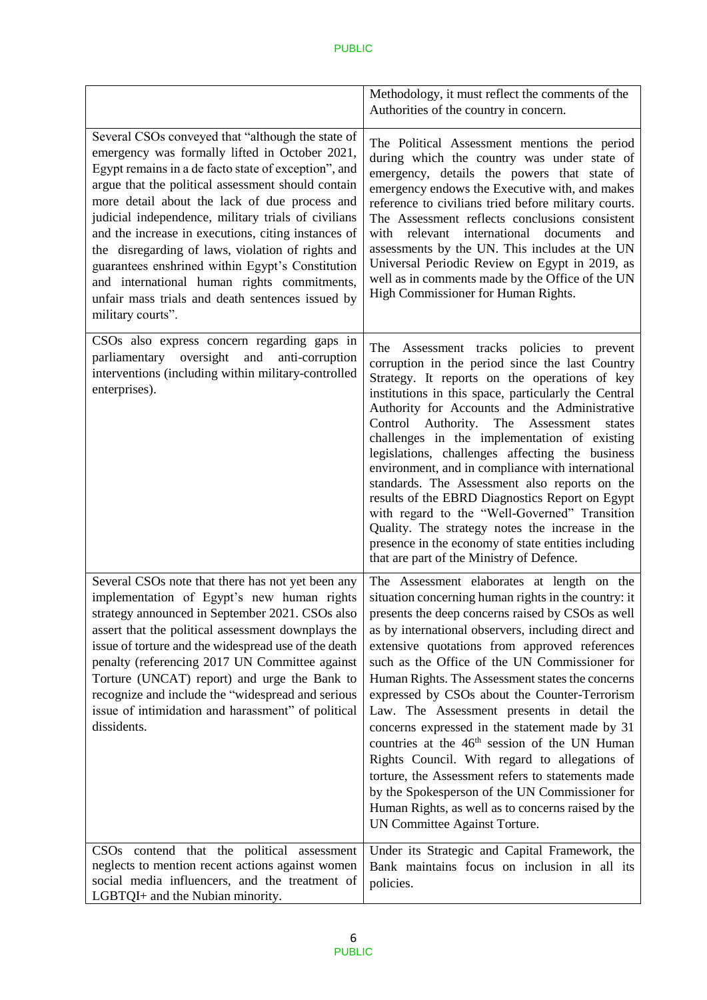|                                                                                                                                                                                                                                                                                                                                                                                                                                                                                                                                                                                                                   | Methodology, it must reflect the comments of the<br>Authorities of the country in concern.                                                                                                                                                                                                                                                                                                                                                                                                                                                                                                                                                                                                                                                                                                                                        |
|-------------------------------------------------------------------------------------------------------------------------------------------------------------------------------------------------------------------------------------------------------------------------------------------------------------------------------------------------------------------------------------------------------------------------------------------------------------------------------------------------------------------------------------------------------------------------------------------------------------------|-----------------------------------------------------------------------------------------------------------------------------------------------------------------------------------------------------------------------------------------------------------------------------------------------------------------------------------------------------------------------------------------------------------------------------------------------------------------------------------------------------------------------------------------------------------------------------------------------------------------------------------------------------------------------------------------------------------------------------------------------------------------------------------------------------------------------------------|
| Several CSOs conveyed that "although the state of<br>emergency was formally lifted in October 2021,<br>Egypt remains in a de facto state of exception", and<br>argue that the political assessment should contain<br>more detail about the lack of due process and<br>judicial independence, military trials of civilians<br>and the increase in executions, citing instances of<br>the disregarding of laws, violation of rights and<br>guarantees enshrined within Egypt's Constitution<br>and international human rights commitments,<br>unfair mass trials and death sentences issued by<br>military courts". | The Political Assessment mentions the period<br>during which the country was under state of<br>emergency, details the powers that state of<br>emergency endows the Executive with, and makes<br>reference to civilians tried before military courts.<br>The Assessment reflects conclusions consistent<br>relevant international<br>with<br>documents<br>and<br>assessments by the UN. This includes at the UN<br>Universal Periodic Review on Egypt in 2019, as<br>well as in comments made by the Office of the UN<br>High Commissioner for Human Rights.                                                                                                                                                                                                                                                                       |
| CSOs also express concern regarding gaps in<br>oversight<br>and<br>anti-corruption<br>parliamentary<br>interventions (including within military-controlled<br>enterprises).                                                                                                                                                                                                                                                                                                                                                                                                                                       | Assessment tracks policies to prevent<br>The<br>corruption in the period since the last Country<br>Strategy. It reports on the operations of key<br>institutions in this space, particularly the Central<br>Authority for Accounts and the Administrative<br>Control Authority. The Assessment<br>states<br>challenges in the implementation of existing<br>legislations, challenges affecting the business<br>environment, and in compliance with international<br>standards. The Assessment also reports on the<br>results of the EBRD Diagnostics Report on Egypt<br>with regard to the "Well-Governed" Transition<br>Quality. The strategy notes the increase in the<br>presence in the economy of state entities including<br>that are part of the Ministry of Defence.                                                      |
| Several CSOs note that there has not yet been any<br>implementation of Egypt's new human rights<br>strategy announced in September 2021. CSOs also<br>assert that the political assessment downplays the<br>issue of torture and the widespread use of the death<br>penalty (referencing 2017 UN Committee against<br>Torture (UNCAT) report) and urge the Bank to<br>recognize and include the "widespread and serious<br>issue of intimidation and harassment" of political<br>dissidents.                                                                                                                      | The Assessment elaborates at length on the<br>situation concerning human rights in the country: it<br>presents the deep concerns raised by CSOs as well<br>as by international observers, including direct and<br>extensive quotations from approved references<br>such as the Office of the UN Commissioner for<br>Human Rights. The Assessment states the concerns<br>expressed by CSOs about the Counter-Terrorism<br>Law. The Assessment presents in detail the<br>concerns expressed in the statement made by 31<br>countries at the 46 <sup>th</sup> session of the UN Human<br>Rights Council. With regard to allegations of<br>torture, the Assessment refers to statements made<br>by the Spokesperson of the UN Commissioner for<br>Human Rights, as well as to concerns raised by the<br>UN Committee Against Torture. |
| CSOs contend that the political assessment<br>neglects to mention recent actions against women<br>social media influencers, and the treatment of<br>LGBTQI+ and the Nubian minority.                                                                                                                                                                                                                                                                                                                                                                                                                              | Under its Strategic and Capital Framework, the<br>Bank maintains focus on inclusion in all its<br>policies.                                                                                                                                                                                                                                                                                                                                                                                                                                                                                                                                                                                                                                                                                                                       |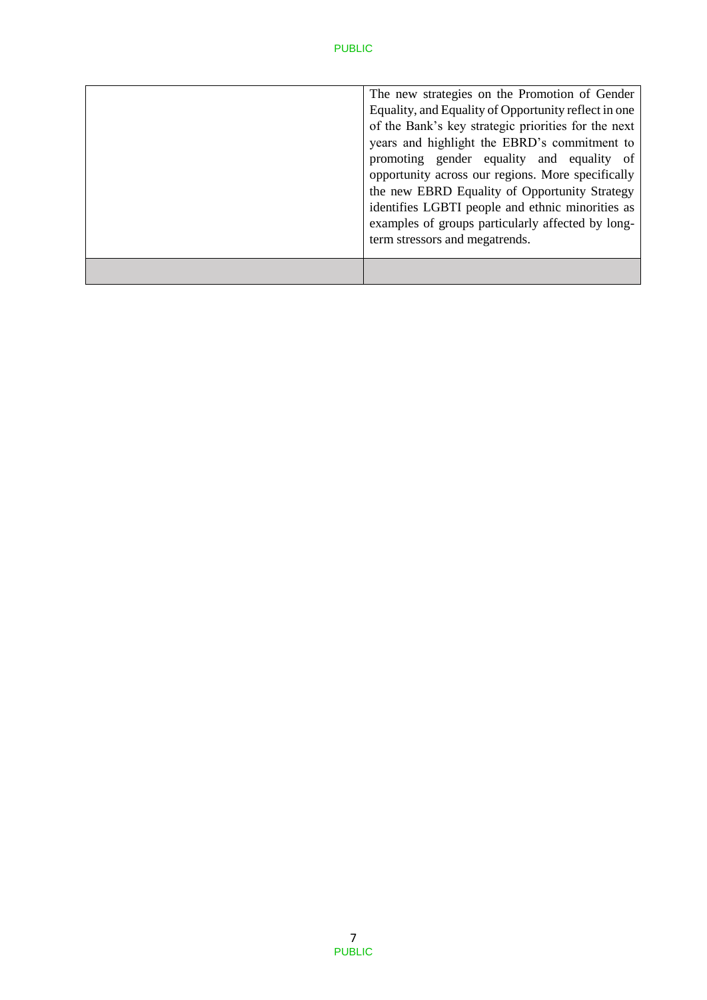| identifies LGBTI people and ethnic minorities as<br>examples of groups particularly affected by long-<br>term stressors and megatrends.         |
|-------------------------------------------------------------------------------------------------------------------------------------------------|
| promoting gender equality and equality of<br>opportunity across our regions. More specifically<br>the new EBRD Equality of Opportunity Strategy |
| of the Bank's key strategic priorities for the next<br>years and highlight the EBRD's commitment to                                             |
| The new strategies on the Promotion of Gender<br>Equality, and Equality of Opportunity reflect in one                                           |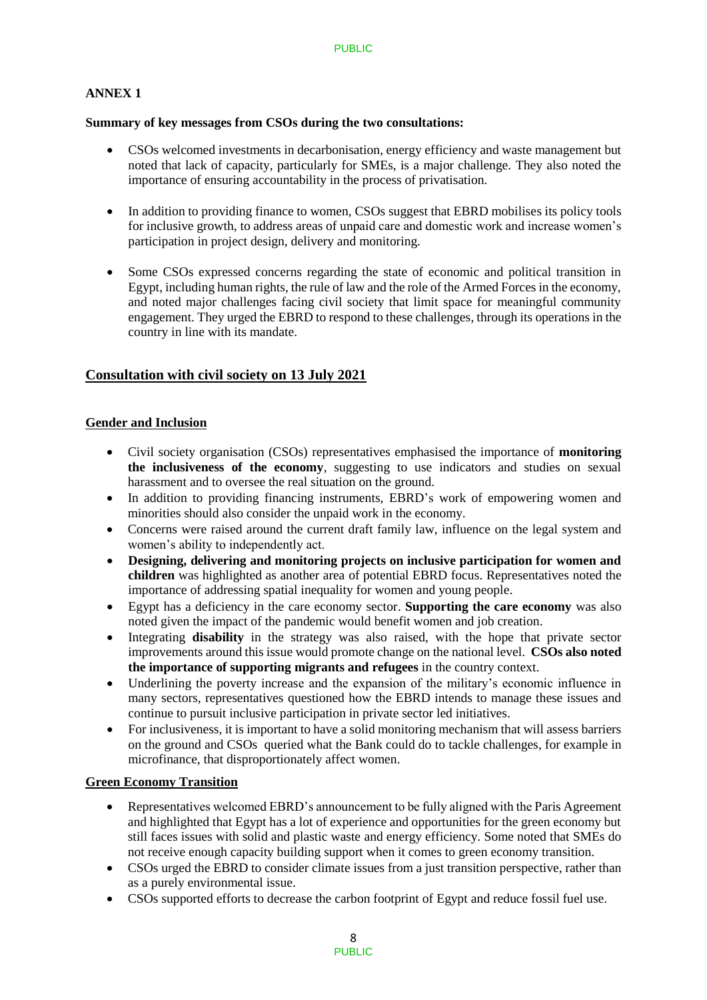### **ANNEX 1**

#### **Summary of key messages from CSOs during the two consultations:**

- CSOs welcomed investments in decarbonisation, energy efficiency and waste management but noted that lack of capacity, particularly for SMEs, is a major challenge. They also noted the importance of ensuring accountability in the process of privatisation.
- In addition to providing finance to women, CSOs suggest that EBRD mobilises its policy tools for inclusive growth, to address areas of unpaid care and domestic work and increase women's participation in project design, delivery and monitoring.
- Some CSOs expressed concerns regarding the state of economic and political transition in Egypt, including human rights, the rule of law and the role of the Armed Forces in the economy, and noted major challenges facing civil society that limit space for meaningful community engagement. They urged the EBRD to respond to these challenges, through its operations in the country in line with its mandate.

## **Consultation with civil society on 13 July 2021**

#### **Gender and Inclusion**

- Civil society organisation (CSOs) representatives emphasised the importance of **monitoring the inclusiveness of the economy**, suggesting to use indicators and studies on sexual harassment and to oversee the real situation on the ground.
- In addition to providing financing instruments, EBRD's work of empowering women and minorities should also consider the unpaid work in the economy.
- Concerns were raised around the current draft family law, influence on the legal system and women's ability to independently act.
- **Designing, delivering and monitoring projects on inclusive participation for women and children** was highlighted as another area of potential EBRD focus. Representatives noted the importance of addressing spatial inequality for women and young people.
- Egypt has a deficiency in the care economy sector. **Supporting the care economy** was also noted given the impact of the pandemic would benefit women and job creation.
- Integrating **disability** in the strategy was also raised, with the hope that private sector improvements around this issue would promote change on the national level. **CSOs also noted the importance of supporting migrants and refugees** in the country context.
- Underlining the poverty increase and the expansion of the military's economic influence in many sectors, representatives questioned how the EBRD intends to manage these issues and continue to pursuit inclusive participation in private sector led initiatives.
- For inclusiveness, it is important to have a solid monitoring mechanism that will assess barriers on the ground and CSOs queried what the Bank could do to tackle challenges, for example in microfinance, that disproportionately affect women.

### **Green Economy Transition**

- Representatives welcomed EBRD's announcement to be fully aligned with the Paris Agreement and highlighted that Egypt has a lot of experience and opportunities for the green economy but still faces issues with solid and plastic waste and energy efficiency. Some noted that SMEs do not receive enough capacity building support when it comes to green economy transition.
- CSOs urged the EBRD to consider climate issues from a just transition perspective, rather than as a purely environmental issue.
- CSOs supported efforts to decrease the carbon footprint of Egypt and reduce fossil fuel use.